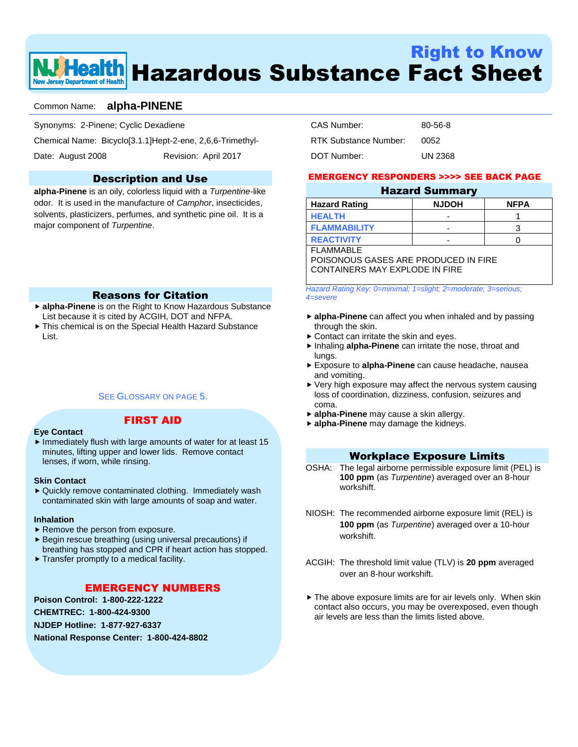# Right to Know Nappe<mark>r Prealth</mark> Hazardous Substance Fact Sheet

#### Common Name: **alpha-PINENE**

Synonyms: 2-Pinene; Cyclic Dexadiene

Chemical Name: Bicyclo[3.1.1]Hept-2-ene, 2,6,6-Trimethyl-

Date: August 2008 Revision: April 2017

#### Description and Use

**alpha-Pinene** is an oily, colorless liquid with a *Turpentine*-like odor. It is used in the manufacture of *Camphor*, insecticides, solvents, plasticizers, perfumes, and synthetic pine oil. It is a major component of *Turpentine*.

#### Reasons for Citation

- **alpha-Pinene** is on the Right to Know Hazardous Substance List because it is cited by ACGIH, DOT and NFPA.
- This chemical is on the Special Health Hazard Substance List.

#### SEE GLOSSARY ON PAGE 5.

# FIRST AID

#### **Eye Contact**

 $\blacktriangleright$  Immediately flush with large amounts of water for at least 15 minutes, lifting upper and lower lids. Remove contact lenses, if worn, while rinsing.

#### **Skin Contact**

 Quickly remove contaminated clothing. Immediately wash contaminated skin with large amounts of soap and water.

#### **Inhalation**

- Remove the person from exposure.
- Begin rescue breathing (using universal precautions) if breathing has stopped and CPR if heart action has stopped.
- $\blacktriangleright$  Transfer promptly to a medical facility.

### EMERGENCY NUMBERS

**Poison Control: 1-800-222-1222 CHEMTREC: 1-800-424-9300 NJDEP Hotline: 1-877-927-6337 National Response Center: 1-800-424-8802**

| CAS Number:           | 80-56-8        |
|-----------------------|----------------|
| RTK Substance Number: | 0052           |
| DOT Number:           | <b>UN 2368</b> |

#### EMERGENCY RESPONDERS >>>> SEE BACK PAGE

#### Hazard Summary

| <b>Hazard Rating</b> | <b>NJDOH</b> | <b>NFPA</b> |
|----------------------|--------------|-------------|
| <b>HEALTH</b>        | -            |             |
| <b>FLAMMABILITY</b>  | -            |             |
| <b>REACTIVITY</b>    | -            |             |
| FI AMMARI F          |              |             |

POISONOUS GASES ARE PRODUCED IN FIRE CONTAINERS MAY EXPLODE IN FIRE

*Hazard Rating Key: 0=minimal; 1=slight; 2=moderate; 3=serious; 4=severe*

- **alpha-Pinene** can affect you when inhaled and by passing through the skin.
- ▶ Contact can irritate the skin and eyes.
- Inhaling **alpha-Pinene** can irritate the nose, throat and lungs.
- Exposure to **alpha-Pinene** can cause headache, nausea and vomiting.
- Very high exposure may affect the nervous system causing loss of coordination, dizziness, confusion, seizures and coma.
- **alpha-Pinene** may cause a skin allergy.
- **alpha-Pinene** may damage the kidneys.

#### Workplace Exposure Limits

- OSHA: The legal airborne permissible exposure limit (PEL) is **100 ppm** (as *Turpentine*) averaged over an 8-hour workshift.
- NIOSH: The recommended airborne exposure limit (REL) is **100 ppm** (as *Turpentine*) averaged over a 10-hour workshift.
- ACGIH: The threshold limit value (TLV) is **20 ppm** averaged over an 8-hour workshift.
- ▶ The above exposure limits are for air levels only. When skin contact also occurs, you may be overexposed, even though air levels are less than the limits listed above.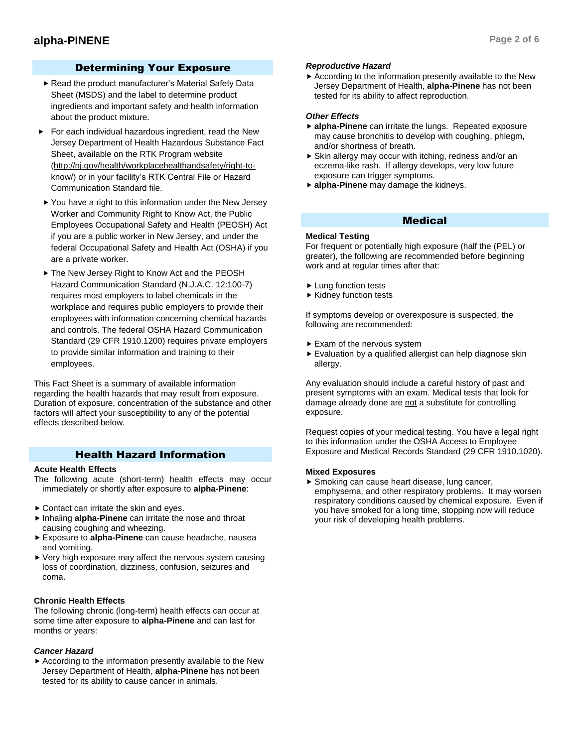### Determining Your Exposure

- Read the product manufacturer's Material Safety Data Sheet (MSDS) and the label to determine product ingredients and important safety and health information about the product mixture.
- For each individual hazardous ingredient, read the New Jersey Department of Health Hazardous Substance Fact Sheet, available on the RTK Program website (http://nj.gov/health/workplacehealthandsafety/right-toknow/) or in your facility's RTK Central File or Hazard Communication Standard file.
- ▶ You have a right to this information under the New Jersey Worker and Community Right to Know Act, the Public Employees Occupational Safety and Health (PEOSH) Act if you are a public worker in New Jersey, and under the federal Occupational Safety and Health Act (OSHA) if you are a private worker.
- ▶ The New Jersey Right to Know Act and the PEOSH Hazard Communication Standard (N.J.A.C. 12:100-7) requires most employers to label chemicals in the workplace and requires public employers to provide their employees with information concerning chemical hazards and controls. The federal OSHA Hazard Communication Standard (29 CFR 1910.1200) requires private employers to provide similar information and training to their employees.

This Fact Sheet is a summary of available information regarding the health hazards that may result from exposure. Duration of exposure, concentration of the substance and other factors will affect your susceptibility to any of the potential effects described below.

#### Health Hazard Information

#### **Acute Health Effects**

- The following acute (short-term) health effects may occur immediately or shortly after exposure to **alpha-Pinene**:
- ▶ Contact can irritate the skin and eyes.
- Inhaling **alpha-Pinene** can irritate the nose and throat causing coughing and wheezing.
- Exposure to **alpha-Pinene** can cause headache, nausea and vomiting.
- ▶ Very high exposure may affect the nervous system causing loss of coordination, dizziness, confusion, seizures and coma.

#### **Chronic Health Effects**

The following chronic (long-term) health effects can occur at some time after exposure to **alpha-Pinene** and can last for months or years:

#### *Cancer Hazard*

 According to the information presently available to the New Jersey Department of Health, **alpha-Pinene** has not been tested for its ability to cause cancer in animals.

#### *Reproductive Hazard*

 According to the information presently available to the New Jersey Department of Health, **alpha-Pinene** has not been tested for its ability to affect reproduction.

#### *Other Effects*

- **alpha-Pinene** can irritate the lungs. Repeated exposure may cause bronchitis to develop with coughing, phlegm, and/or shortness of breath.
- Skin allergy may occur with itching, redness and/or an eczema-like rash. If allergy develops, very low future exposure can trigger symptoms.
- **alpha-Pinene** may damage the kidneys.

#### Medical

#### **Medical Testing**

For frequent or potentially high exposure (half the (PEL) or greater), the following are recommended before beginning work and at regular times after that:

- ► Lung function tests
- ► Kidney function tests

If symptoms develop or overexposure is suspected, the following are recommended:

- Exam of the nervous system
- Evaluation by a qualified allergist can help diagnose skin allergy.

Any evaluation should include a careful history of past and present symptoms with an exam. Medical tests that look for damage already done are not a substitute for controlling exposure.

Request copies of your medical testing. You have a legal right to this information under the OSHA Access to Employee Exposure and Medical Records Standard (29 CFR 1910.1020).

#### **Mixed Exposures**

▶ Smoking can cause heart disease, lung cancer, emphysema, and other respiratory problems. It may worsen respiratory conditions caused by chemical exposure. Even if you have smoked for a long time, stopping now will reduce your risk of developing health problems.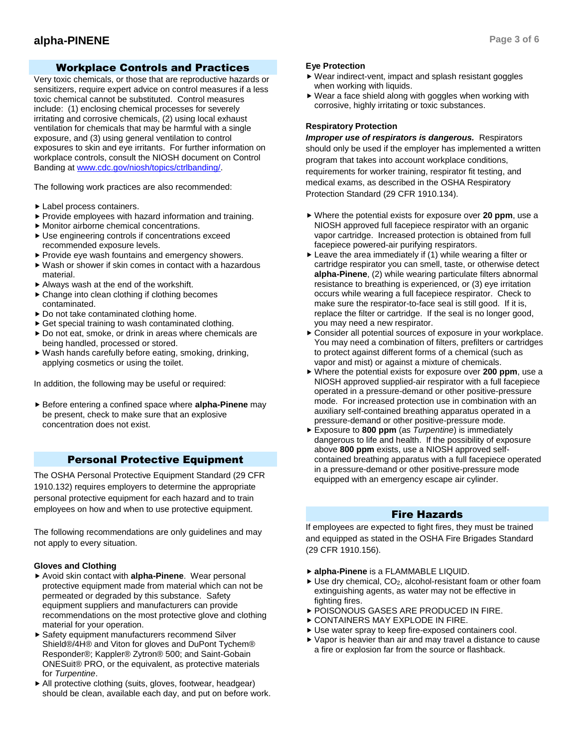### Workplace Controls and Practices

Very toxic chemicals, or those that are reproductive hazards or sensitizers, require expert advice on control measures if a less toxic chemical cannot be substituted. Control measures include: (1) enclosing chemical processes for severely irritating and corrosive chemicals, (2) using local exhaust ventilation for chemicals that may be harmful with a single exposure, and (3) using general ventilation to control exposures to skin and eye irritants. For further information on workplace controls, consult the NIOSH document on Control Banding a[t www.cdc.gov/niosh/topics/ctrlbanding/.](http://www.cdc.gov/niosh/topics/ctrlbanding/)

The following work practices are also recommended:

- Label process containers.
- $\blacktriangleright$  Provide employees with hazard information and training.
- Monitor airborne chemical concentrations.
- Use engineering controls if concentrations exceed recommended exposure levels.
- ▶ Provide eye wash fountains and emergency showers.
- Wash or shower if skin comes in contact with a hazardous material.
- Always wash at the end of the workshift.
- ▶ Change into clean clothing if clothing becomes contaminated.
- ▶ Do not take contaminated clothing home.
- ▶ Get special training to wash contaminated clothing.
- ▶ Do not eat, smoke, or drink in areas where chemicals are being handled, processed or stored.
- Wash hands carefully before eating, smoking, drinking, applying cosmetics or using the toilet.

In addition, the following may be useful or required:

 Before entering a confined space where **alpha-Pinene** may be present, check to make sure that an explosive concentration does not exist.

#### Personal Protective Equipment

The OSHA Personal Protective Equipment Standard (29 CFR 1910.132) requires employers to determine the appropriate personal protective equipment for each hazard and to train employees on how and when to use protective equipment.

The following recommendations are only guidelines and may not apply to every situation.

#### **Gloves and Clothing**

- Avoid skin contact with **alpha-Pinene**. Wear personal protective equipment made from material which can not be permeated or degraded by this substance. Safety equipment suppliers and manufacturers can provide recommendations on the most protective glove and clothing material for your operation.
- ▶ Safety equipment manufacturers recommend Silver Shield®/4H® and Viton for gloves and DuPont Tychem® Responder®; Kappler® Zytron® 500; and Saint-Gobain ONESuit® PRO, or the equivalent, as protective materials for *Turpentine*.
- All protective clothing (suits, gloves, footwear, headgear) should be clean, available each day, and put on before work.

#### **Eye Protection**

- Wear indirect-vent, impact and splash resistant goggles when working with liquids.
- Wear a face shield along with goggles when working with corrosive, highly irritating or toxic substances.

#### **Respiratory Protection**

*Improper use of respirators is dangerous.* Respirators should only be used if the employer has implemented a written program that takes into account workplace conditions, requirements for worker training, respirator fit testing, and medical exams, as described in the OSHA Respiratory Protection Standard (29 CFR 1910.134).

- Where the potential exists for exposure over **20 ppm**, use a NIOSH approved full facepiece respirator with an organic vapor cartridge. Increased protection is obtained from full facepiece powered-air purifying respirators.
- $\blacktriangleright$  Leave the area immediately if (1) while wearing a filter or cartridge respirator you can smell, taste, or otherwise detect **alpha-Pinene**, (2) while wearing particulate filters abnormal resistance to breathing is experienced, or (3) eye irritation occurs while wearing a full facepiece respirator. Check to make sure the respirator-to-face seal is still good. If it is, replace the filter or cartridge. If the seal is no longer good, you may need a new respirator.
- Consider all potential sources of exposure in your workplace. You may need a combination of filters, prefilters or cartridges to protect against different forms of a chemical (such as vapor and mist) or against a mixture of chemicals.
- Where the potential exists for exposure over **200 ppm**, use a NIOSH approved supplied-air respirator with a full facepiece operated in a pressure-demand or other positive-pressure mode. For increased protection use in combination with an auxiliary self-contained breathing apparatus operated in a pressure-demand or other positive-pressure mode.
- Exposure to **800 ppm** (as *Turpentine*) is immediately dangerous to life and health. If the possibility of exposure above **800 ppm** exists, use a NIOSH approved selfcontained breathing apparatus with a full facepiece operated in a pressure-demand or other positive-pressure mode equipped with an emergency escape air cylinder.

#### Fire Hazards

If employees are expected to fight fires, they must be trained and equipped as stated in the OSHA Fire Brigades Standard (29 CFR 1910.156).

- **alpha-Pinene** is a FLAMMABLE LIQUID.
- ▶ Use dry chemical, CO<sub>2</sub>, alcohol-resistant foam or other foam extinguishing agents, as water may not be effective in fighting fires.
- **POISONOUS GASES ARE PRODUCED IN FIRE.**
- CONTAINERS MAY EXPLODE IN FIRE.
- ► Use water spray to keep fire-exposed containers cool.
- Vapor is heavier than air and may travel a distance to cause a fire or explosion far from the source or flashback.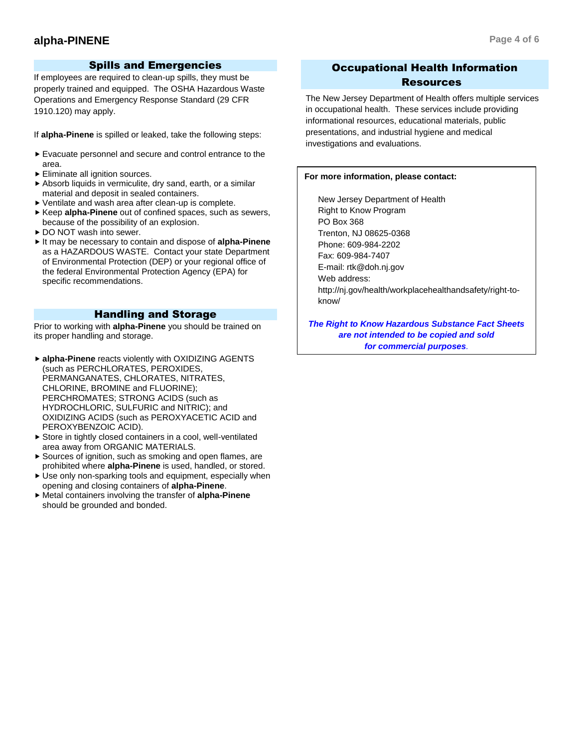#### Spills and Emergencies

If employees are required to clean-up spills, they must be properly trained and equipped. The OSHA Hazardous Waste Operations and Emergency Response Standard (29 CFR 1910.120) may apply.

If **alpha-Pinene** is spilled or leaked, take the following steps:

- Evacuate personnel and secure and control entrance to the area.
- Eliminate all ignition sources.
- Absorb liquids in vermiculite, dry sand, earth, or a similar material and deposit in sealed containers.
- Ventilate and wash area after clean-up is complete.
- Keep **alpha-Pinene** out of confined spaces, such as sewers, because of the possibility of an explosion.
- ▶ DO NOT wash into sewer.
- It may be necessary to contain and dispose of **alpha-Pinene** as a HAZARDOUS WASTE. Contact your state Department of Environmental Protection (DEP) or your regional office of the federal Environmental Protection Agency (EPA) for specific recommendations.

#### Handling and Storage

Prior to working with **alpha-Pinene** you should be trained on its proper handling and storage.

- **alpha-Pinene** reacts violently with OXIDIZING AGENTS (such as PERCHLORATES, PEROXIDES, PERMANGANATES, CHLORATES, NITRATES, CHLORINE, BROMINE and FLUORINE); PERCHROMATES; STRONG ACIDS (such as HYDROCHLORIC, SULFURIC and NITRIC); and OXIDIZING ACIDS (such as PEROXYACETIC ACID and PEROXYBENZOIC ACID).
- Store in tightly closed containers in a cool, well-ventilated area away from ORGANIC MATERIALS.
- Sources of ignition, such as smoking and open flames, are prohibited where **alpha-Pinene** is used, handled, or stored.
- Use only non-sparking tools and equipment, especially when opening and closing containers of **alpha-Pinene**.
- Metal containers involving the transfer of **alpha-Pinene** should be grounded and bonded.

# Occupational Health Information Resources

The New Jersey Department of Health offers multiple services in occupational health. These services include providing informational resources, educational materials, public presentations, and industrial hygiene and medical investigations and evaluations.

#### **For more information, please contact:**

New Jersey Department of Health Right to Know Program PO Box 368 Trenton, NJ 08625-0368 Phone: 609-984-2202 Fax: 609-984-7407 E-mail: rtk@doh.nj.gov Web address: http://nj.gov/health/workplacehealthandsafety/right-toknow/

*The Right to Know Hazardous Substance Fact Sheets are not intended to be copied and sold for commercial purposes.*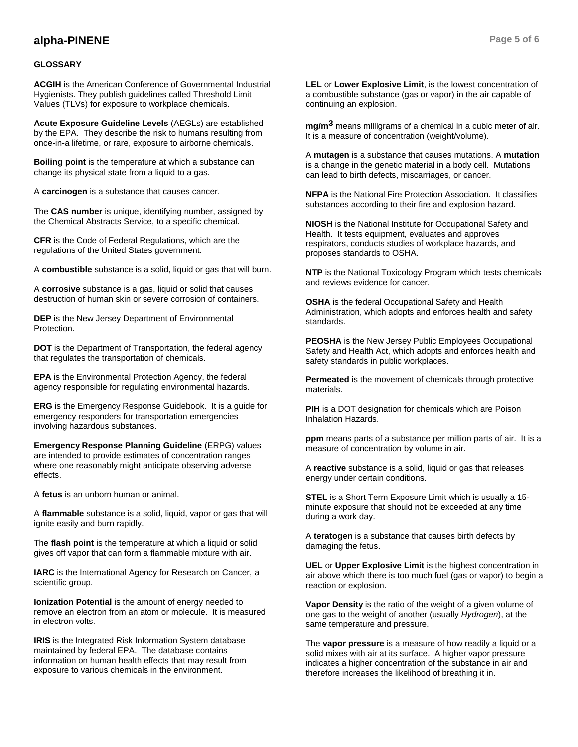## **alpha-PINENE Page 5 of 6**

#### **GLOSSARY**

**ACGIH** is the American Conference of Governmental Industrial Hygienists. They publish guidelines called Threshold Limit Values (TLVs) for exposure to workplace chemicals.

**Acute Exposure Guideline Levels** (AEGLs) are established by the EPA. They describe the risk to humans resulting from once-in-a lifetime, or rare, exposure to airborne chemicals.

**Boiling point** is the temperature at which a substance can change its physical state from a liquid to a gas.

A **carcinogen** is a substance that causes cancer.

The **CAS number** is unique, identifying number, assigned by the Chemical Abstracts Service, to a specific chemical.

**CFR** is the Code of Federal Regulations, which are the regulations of the United States government.

A **combustible** substance is a solid, liquid or gas that will burn.

A **corrosive** substance is a gas, liquid or solid that causes destruction of human skin or severe corrosion of containers.

**DEP** is the New Jersey Department of Environmental Protection.

**DOT** is the Department of Transportation, the federal agency that regulates the transportation of chemicals.

**EPA** is the Environmental Protection Agency, the federal agency responsible for regulating environmental hazards.

**ERG** is the Emergency Response Guidebook. It is a guide for emergency responders for transportation emergencies involving hazardous substances.

**Emergency Response Planning Guideline** (ERPG) values are intended to provide estimates of concentration ranges where one reasonably might anticipate observing adverse effects.

A **fetus** is an unborn human or animal.

A **flammable** substance is a solid, liquid, vapor or gas that will ignite easily and burn rapidly.

The **flash point** is the temperature at which a liquid or solid gives off vapor that can form a flammable mixture with air.

**IARC** is the International Agency for Research on Cancer, a scientific group.

**Ionization Potential** is the amount of energy needed to remove an electron from an atom or molecule. It is measured in electron volts.

**IRIS** is the Integrated Risk Information System database maintained by federal EPA. The database contains information on human health effects that may result from exposure to various chemicals in the environment.

**LEL** or **Lower Explosive Limit**, is the lowest concentration of a combustible substance (gas or vapor) in the air capable of continuing an explosion.

**mg/m3** means milligrams of a chemical in a cubic meter of air. It is a measure of concentration (weight/volume).

A **mutagen** is a substance that causes mutations. A **mutation** is a change in the genetic material in a body cell. Mutations can lead to birth defects, miscarriages, or cancer.

**NFPA** is the National Fire Protection Association. It classifies substances according to their fire and explosion hazard.

**NIOSH** is the National Institute for Occupational Safety and Health. It tests equipment, evaluates and approves respirators, conducts studies of workplace hazards, and proposes standards to OSHA.

**NTP** is the National Toxicology Program which tests chemicals and reviews evidence for cancer.

**OSHA** is the federal Occupational Safety and Health Administration, which adopts and enforces health and safety standards.

**PEOSHA** is the New Jersey Public Employees Occupational Safety and Health Act, which adopts and enforces health and safety standards in public workplaces.

**Permeated** is the movement of chemicals through protective materials.

**PIH** is a DOT designation for chemicals which are Poison Inhalation Hazards.

**ppm** means parts of a substance per million parts of air. It is a measure of concentration by volume in air.

A **reactive** substance is a solid, liquid or gas that releases energy under certain conditions.

**STEL** is a Short Term Exposure Limit which is usually a 15 minute exposure that should not be exceeded at any time during a work day.

A **teratogen** is a substance that causes birth defects by damaging the fetus.

**UEL** or **Upper Explosive Limit** is the highest concentration in air above which there is too much fuel (gas or vapor) to begin a reaction or explosion.

**Vapor Density** is the ratio of the weight of a given volume of one gas to the weight of another (usually *Hydrogen*), at the same temperature and pressure.

The **vapor pressure** is a measure of how readily a liquid or a solid mixes with air at its surface. A higher vapor pressure indicates a higher concentration of the substance in air and therefore increases the likelihood of breathing it in.